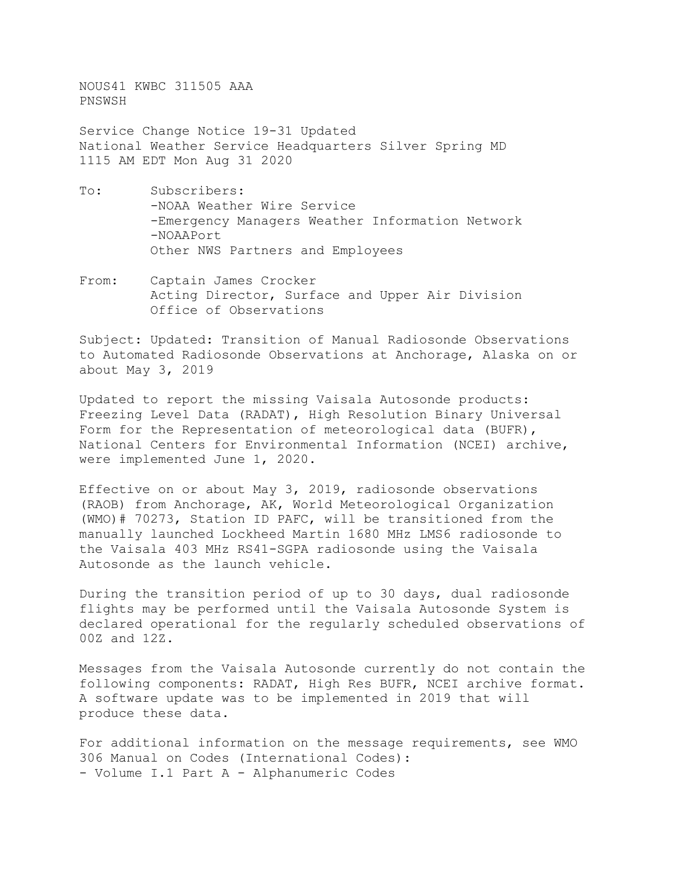NOUS41 KWBC 311505 AAA PNSWSH

Service Change Notice 19-31 Updated National Weather Service Headquarters Silver Spring MD 1115 AM EDT Mon Aug 31 2020

- To: Subscribers: -NOAA Weather Wire Service -Emergency Managers Weather Information Network -NOAAPort Other NWS Partners and Employees
- From: Captain James Crocker Acting Director, Surface and Upper Air Division Office of Observations

Subject: Updated: Transition of Manual Radiosonde Observations to Automated Radiosonde Observations at Anchorage, Alaska on or about May 3, 2019

Updated to report the missing Vaisala Autosonde products: Freezing Level Data (RADAT), High Resolution Binary Universal Form for the Representation of meteorological data (BUFR), National Centers for Environmental Information (NCEI) archive, were implemented June 1, 2020.

Effective on or about May 3, 2019, radiosonde observations (RAOB) from Anchorage, AK, World Meteorological Organization (WMO)# 70273, Station ID PAFC, will be transitioned from the manually launched Lockheed Martin 1680 MHz LMS6 radiosonde to the Vaisala 403 MHz RS41-SGPA radiosonde using the Vaisala Autosonde as the launch vehicle.

During the transition period of up to 30 days, dual radiosonde flights may be performed until the Vaisala Autosonde System is declared operational for the regularly scheduled observations of 00Z and 12Z.

Messages from the Vaisala Autosonde currently do not contain the following components: RADAT, High Res BUFR, NCEI archive format. A software update was to be implemented in 2019 that will produce these data.

For additional information on the message requirements, see WMO 306 Manual on Codes (International Codes): - Volume I.1 Part A - Alphanumeric Codes